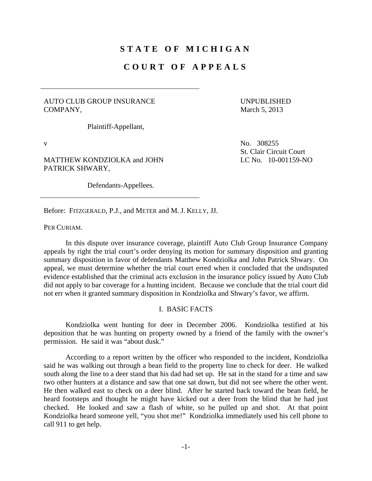# **STATE OF MICHIGAN**

## **COURT OF APPEALS**

## AUTO CLUB GROUP INSURANCE COMPANY,

UNPUBLISHED March 5, 2013

Plaintiff-Appellant,

MATTHEW KONDZIOLKA and JOHN PATRICK SHWARY,

Defendants-Appellees.

v No. 308255 St. Clair Circuit Court LC No. 10-001159-NO

Before: FITZGERALD, P.J., and METER and M. J. KELLY, JJ.

PER CURIAM.

 In this dispute over insurance coverage, plaintiff Auto Club Group Insurance Company appeals by right the trial court's order denying its motion for summary disposition and granting summary disposition in favor of defendants Matthew Kondziolka and John Patrick Shwary. On appeal, we must determine whether the trial court erred when it concluded that the undisputed evidence established that the criminal acts exclusion in the insurance policy issued by Auto Club did not apply to bar coverage for a hunting incident. Because we conclude that the trial court did not err when it granted summary disposition in Kondziolka and Shwary's favor, we affirm.

## I. BASIC FACTS

 Kondziolka went hunting for deer in December 2006. Kondziolka testified at his deposition that he was hunting on property owned by a friend of the family with the owner's permission. He said it was "about dusk."

 According to a report written by the officer who responded to the incident, Kondziolka said he was walking out through a bean field to the property line to check for deer. He walked south along the line to a deer stand that his dad had set up. He sat in the stand for a time and saw two other hunters at a distance and saw that one sat down, but did not see where the other went. He then walked east to check on a deer blind. After he started back toward the bean field, he heard footsteps and thought he might have kicked out a deer from the blind that he had just checked. He looked and saw a flash of white, so he pulled up and shot. At that point Kondziolka heard someone yell, "you shot me!" Kondziolka immediately used his cell phone to call 911 to get help.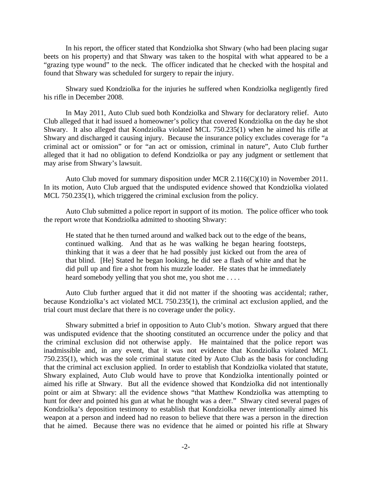In his report, the officer stated that Kondziolka shot Shwary (who had been placing sugar beets on his property) and that Shwary was taken to the hospital with what appeared to be a "grazing type wound" to the neck. The officer indicated that he checked with the hospital and found that Shwary was scheduled for surgery to repair the injury.

 Shwary sued Kondziolka for the injuries he suffered when Kondziolka negligently fired his rifle in December 2008.

 In May 2011, Auto Club sued both Kondziolka and Shwary for declaratory relief. Auto Club alleged that it had issued a homeowner's policy that covered Kondziolka on the day he shot Shwary. It also alleged that Kondziolka violated MCL 750.235(1) when he aimed his rifle at Shwary and discharged it causing injury. Because the insurance policy excludes coverage for "a criminal act or omission" or for "an act or omission, criminal in nature", Auto Club further alleged that it had no obligation to defend Kondziolka or pay any judgment or settlement that may arise from Shwary's lawsuit.

 Auto Club moved for summary disposition under MCR 2.116(C)(10) in November 2011. In its motion, Auto Club argued that the undisputed evidence showed that Kondziolka violated MCL 750.235(1), which triggered the criminal exclusion from the policy.

 Auto Club submitted a police report in support of its motion. The police officer who took the report wrote that Kondziolka admitted to shooting Shwary:

He stated that he then turned around and walked back out to the edge of the beans, continued walking. And that as he was walking he began hearing footsteps, thinking that it was a deer that he had possibly just kicked out from the area of that blind. [He] Stated he began looking, he did see a flash of white and that he did pull up and fire a shot from his muzzle loader. He states that he immediately heard somebody yelling that you shot me, you shot me....

 Auto Club further argued that it did not matter if the shooting was accidental; rather, because Kondziolka's act violated MCL 750.235(1), the criminal act exclusion applied, and the trial court must declare that there is no coverage under the policy.

 Shwary submitted a brief in opposition to Auto Club's motion. Shwary argued that there was undisputed evidence that the shooting constituted an occurrence under the policy and that the criminal exclusion did not otherwise apply. He maintained that the police report was inadmissible and, in any event, that it was not evidence that Kondziolka violated MCL 750.235(1), which was the sole criminal statute cited by Auto Club as the basis for concluding that the criminal act exclusion applied. In order to establish that Kondziolka violated that statute, Shwary explained, Auto Club would have to prove that Kondziolka intentionally pointed or aimed his rifle at Shwary. But all the evidence showed that Kondziolka did not intentionally point or aim at Shwary: all the evidence shows "that Matthew Kondziolka was attempting to hunt for deer and pointed his gun at what he thought was a deer." Shwary cited several pages of Kondziolka's deposition testimony to establish that Kondziolka never intentionally aimed his weapon at a person and indeed had no reason to believe that there was a person in the direction that he aimed. Because there was no evidence that he aimed or pointed his rifle at Shwary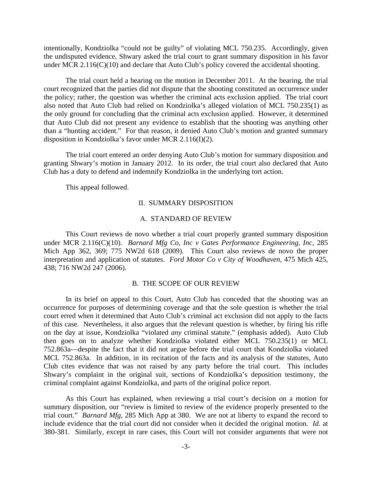intentionally, Kondziolka "could not be guilty" of violating MCL 750.235. Accordingly, given the undisputed evidence, Shwary asked the trial court to grant summary disposition in his favor under MCR 2.116(C)(10) and declare that Auto Club's policy covered the accidental shooting.

 The trial court held a hearing on the motion in December 2011. At the hearing, the trial court recognized that the parties did not dispute that the shooting constituted an occurrence under the policy; rather, the question was whether the criminal acts exclusion applied. The trial court also noted that Auto Club had relied on Kondziolka's alleged violation of MCL 750.235(1) as the only ground for concluding that the criminal acts exclusion applied. However, it determined that Auto Club did not present any evidence to establish that the shooting was anything other than a "hunting accident." For that reason, it denied Auto Club's motion and granted summary disposition in Kondziolka's favor under MCR 2.116(I)(2).

 The trial court entered an order denying Auto Club's motion for summary disposition and granting Shwary's motion in January 2012. In its order, the trial court also declared that Auto Club has a duty to defend and indemnify Kondziolka in the underlying tort action.

This appeal followed.

## II. SUMMARY DISPOSITION

#### A. STANDARD OF REVIEW

 This Court reviews de novo whether a trial court properly granted summary disposition under MCR 2.116(C)(10). *Barnard Mfg Co, Inc v Gates Performance Engineering, Inc*, 285 Mich App 362, 369; 775 NW2d 618 (2009). This Court also reviews de novo the proper interpretation and application of statutes. *Ford Motor Co v City of Woodhaven*, 475 Mich 425, 438; 716 NW2d 247 (2006).

#### B. THE SCOPE OF OUR REVIEW

 In its brief on appeal to this Court, Auto Club has conceded that the shooting was an occurrence for purposes of determining coverage and that the sole question is whether the trial court erred when it determined that Auto Club's criminal act exclusion did not apply to the facts of this case. Nevertheless, it also argues that the relevant question is whether, by firing his rifle on the day at issue, Kondziolka "violated *any* criminal statute." (emphasis added). Auto Club then goes on to analyze whether Kondziolka violated either MCL 750.235(1) or MCL 752.863a—despite the fact that it did not argue before the trial court that Kondziolka violated MCL 752.863a. In addition, in its recitation of the facts and its analysis of the statutes, Auto Club cites evidence that was not raised by any party before the trial court. This includes Shwary's complaint in the original suit, sections of Kondziolka's deposition testimony, the criminal complaint against Kondziolka, and parts of the original police report.

 As this Court has explained, when reviewing a trial court's decision on a motion for summary disposition, our "review is limited to review of the evidence properly presented to the trial court." *Barnard Mfg*, 285 Mich App at 380. We are not at liberty to expand the record to include evidence that the trial court did not consider when it decided the original motion. *Id.* at 380-381. Similarly, except in rare cases, this Court will not consider arguments that were not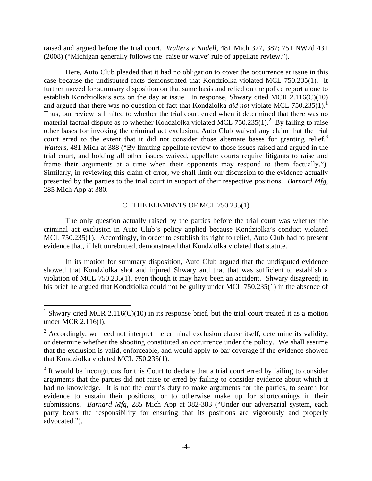raised and argued before the trial court. *Walters v Nadell*, 481 Mich 377, 387; 751 NW2d 431 (2008) ("Michigan generally follows the 'raise or waive' rule of appellate review.").

 Here, Auto Club pleaded that it had no obligation to cover the occurrence at issue in this case because the undisputed facts demonstrated that Kondziolka violated MCL 750.235(1). It further moved for summary disposition on that same basis and relied on the police report alone to establish Kondziolka's acts on the day at issue. In response, Shwary cited MCR 2.116(C)(10) and argued that there was no question of fact that Kondziolka *did not* violate MCL 750.235(1).<sup>1</sup> Thus, our review is limited to whether the trial court erred when it determined that there was no material factual dispute as to whether Kondziolka violated MCL 750.235 $(1)$ .<sup>2</sup> By failing to raise other bases for invoking the criminal act exclusion, Auto Club waived any claim that the trial court erred to the extent that it did not consider those alternate bases for granting relief.<sup>3</sup> *Walters*, 481 Mich at 388 ("By limiting appellate review to those issues raised and argued in the trial court, and holding all other issues waived, appellate courts require litigants to raise and frame their arguments at a time when their opponents may respond to them factually."). Similarly, in reviewing this claim of error, we shall limit our discussion to the evidence actually presented by the parties to the trial court in support of their respective positions. *Barnard Mfg*, 285 Mich App at 380.

## C. THE ELEMENTS OF MCL 750.235(1)

 The only question actually raised by the parties before the trial court was whether the criminal act exclusion in Auto Club's policy applied because Kondziolka's conduct violated MCL 750.235(1). Accordingly, in order to establish its right to relief, Auto Club had to present evidence that, if left unrebutted, demonstrated that Kondziolka violated that statute.

 In its motion for summary disposition, Auto Club argued that the undisputed evidence showed that Kondziolka shot and injured Shwary and that that was sufficient to establish a violation of MCL 750.235(1), even though it may have been an accident. Shwary disagreed; in his brief he argued that Kondziolka could not be guilty under MCL 750.235(1) in the absence of

1

<sup>&</sup>lt;sup>1</sup> Shwary cited MCR 2.116(C)(10) in its response brief, but the trial court treated it as a motion under MCR 2.116(I).

 $2^2$  Accordingly, we need not interpret the criminal exclusion clause itself, determine its validity, or determine whether the shooting constituted an occurrence under the policy. We shall assume that the exclusion is valid, enforceable, and would apply to bar coverage if the evidence showed that Kondziolka violated MCL 750.235(1).

 $3$  It would be incongruous for this Court to declare that a trial court erred by failing to consider arguments that the parties did not raise or erred by failing to consider evidence about which it had no knowledge. It is not the court's duty to make arguments for the parties, to search for evidence to sustain their positions, or to otherwise make up for shortcomings in their submissions. *Barnard Mfg*, 285 Mich App at 382-383 ("Under our adversarial system, each party bears the responsibility for ensuring that its positions are vigorously and properly advocated.").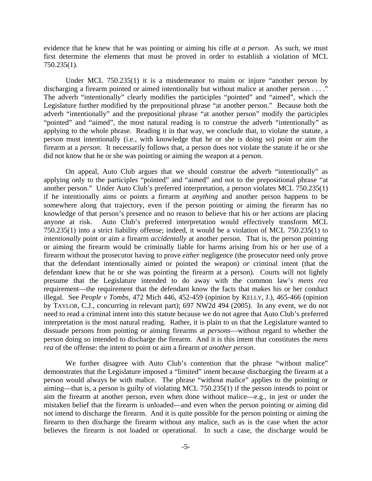evidence that he knew that he was pointing or aiming his rifle *at a person*. As such, we must first determine the elements that must be proved in order to establish a violation of MCL 750.235(1).

 Under MCL 750.235(1) it is a misdemeanor to maim or injure "another person by discharging a firearm pointed or aimed intentionally but without malice at another person . . . ." The adverb "intentionally" clearly modifies the participles "pointed" and "aimed", which the Legislature further modified by the prepositional phrase "at another person." Because both the adverb "intentionally" and the prepositional phrase "at another person" modify the participles "pointed" and "aimed", the most natural reading is to construe the adverb "intentionally" as applying to the whole phrase. Reading it in that way, we conclude that, to violate the statute, a person must intentionally (i.e., with knowledge that he or she is doing so) point or aim the firearm at a *person*. It necessarily follows that, a person does not violate the statute if he or she did not know that he or she was pointing or aiming the weapon at a person.

 On appeal, Auto Club argues that we should construe the adverb "intentionally" as applying only to the participles "pointed" and "aimed" and not to the prepositional phrase "at another person." Under Auto Club's preferred interpretation, a person violates MCL 750.235(1) if he intentionally aims or points a firearm at *anything* and another person happens to be somewhere along that trajectory, even if the person pointing or aiming the firearm has no knowledge of that person's presence and no reason to believe that his or her actions are placing anyone at risk. Auto Club's preferred interpretation would effectively transform MCL 750.235(1) into a strict liability offense; indeed, it would be a violation of MCL 750.235(1) to *intentionally* point or aim a firearm *accidentally* at another person. That is, the person pointing or aiming the firearm would be criminally liable for harms arising from his or her use of a firearm without the prosecutor having to prove *either* negligence (the prosecutor need only prove that the defendant intentionally aimed or pointed the weapon) *or* criminal intent (that the defendant knew that he or she was pointing the firearm at a person). Courts will not lightly presume that the Legislature intended to do away with the common law's *mens rea* requirement—the requirement that the defendant know the facts that makes his or her conduct illegal. See *People v Tombs*, 472 Mich 446, 452-459 (opinion by KELLY, J.), 465-466 (opinion by TAYLOR, C.J., concurring in relevant part); 697 NW2d 494 (2005). In any event, we do not need to read a criminal intent into this statute because we do not agree that Auto Club's preferred interpretation is the most natural reading. Rather, it is plain to us that the Legislature wanted to dissuade persons from pointing or aiming firearms at *persons*—without regard to whether the person doing so intended to discharge the firearm. And it is this intent that constitutes the *mens rea* of the offense: the intent to point or aim a firearm *at another person*.

We further disagree with Auto Club's contention that the phrase "without malice" demonstrates that the Legislature imposed a "limited" intent because discharging the firearm at a person would always be with malice. The phrase "without malice" applies to the pointing or aiming—that is, a person is guilty of violating MCL 750.235(1) if the person intends to point or aim the firearm at another person, even when done without malice—e.g., in jest or under the mistaken belief that the firearm is unloaded—and even when the person pointing or aiming did not intend to discharge the firearm. And it is quite possible for the person pointing or aiming the firearm to then discharge the firearm without any malice, such as is the case when the actor believes the firearm is not loaded or operational. In such a case, the discharge would be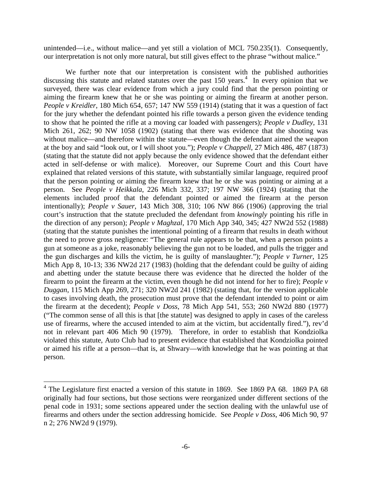unintended—i.e., without malice—and yet still a violation of MCL 750.235(1). Consequently, our interpretation is not only more natural, but still gives effect to the phrase "without malice."

 We further note that our interpretation is consistent with the published authorities discussing this statute and related statutes over the past  $150$  years.<sup>4</sup> In every opinion that we surveyed, there was clear evidence from which a jury could find that the person pointing or aiming the firearm knew that he or she was pointing or aiming the firearm at another person. *People v Kreidler*, 180 Mich 654, 657; 147 NW 559 (1914) (stating that it was a question of fact for the jury whether the defendant pointed his rifle towards a person given the evidence tending to show that he pointed the rifle at a moving car loaded with passengers); *People v Dudley*, 131 Mich 261, 262; 90 NW 1058 (1902) (stating that there was evidence that the shooting was without malice—and therefore within the statute—even though the defendant aimed the weapon at the boy and said "look out, or I will shoot you."); *People v Chappell*, 27 Mich 486, 487 (1873) (stating that the statute did not apply because the only evidence showed that the defendant either acted in self-defense or with malice). Moreover, our Supreme Court and this Court have explained that related versions of this statute, with substantially similar language, required proof that the person pointing or aiming the firearm knew that he or she was pointing or aiming at a person. See *People v Heikkala*, 226 Mich 332, 337; 197 NW 366 (1924) (stating that the elements included proof that the defendant pointed or aimed the firearm at the person intentionally); *People v Sauer*, 143 Mich 308, 310; 106 NW 866 (1906) (approving the trial court's instruction that the statute precluded the defendant from *knowingly* pointing his rifle in the direction of any person); *People v Maghzal*, 170 Mich App 340, 345; 427 NW2d 552 (1988) (stating that the statute punishes the intentional pointing of a firearm that results in death without the need to prove gross negligence: "The general rule appears to be that, when a person points a gun at someone as a joke, reasonably believing the gun not to be loaded, and pulls the trigger and the gun discharges and kills the victim, he is guilty of manslaughter."); *People v Turner*, 125 Mich App 8, 10-13; 336 NW2d 217 (1983) (holding that the defendant could be guilty of aiding and abetting under the statute because there was evidence that he directed the holder of the firearm to point the firearm at the victim, even though he did not intend for her to fire); *People v Duggan*, 115 Mich App 269, 271; 320 NW2d 241 (1982) (stating that, for the version applicable to cases involving death, the prosecution must prove that the defendant intended to point or aim the firearm at the decedent); *People v Doss*, 78 Mich App 541, 553; 260 NW2d 880 (1977) ("The common sense of all this is that [the statute] was designed to apply in cases of the careless use of firearms, where the accused intended to aim at the victim, but accidentally fired."), rev'd not in relevant part 406 Mich 90 (1979). Therefore, in order to establish that Kondziolka violated this statute, Auto Club had to present evidence that established that Kondziolka pointed or aimed his rifle at a person—that is, at Shwary—with knowledge that he was pointing at that person.

 4 The Legislature first enacted a version of this statute in 1869. See 1869 PA 68. 1869 PA 68 originally had four sections, but those sections were reorganized under different sections of the penal code in 1931; some sections appeared under the section dealing with the unlawful use of firearms and others under the section addressing homicide. See *People v Doss*, 406 Mich 90, 97 n 2; 276 NW2d 9 (1979).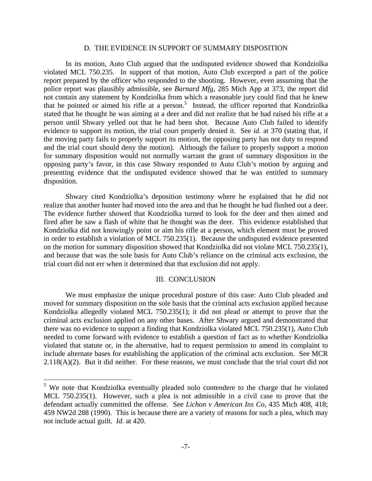#### D. THE EVIDENCE IN SUPPORT OF SUMMARY DISPOSITION

 In its motion, Auto Club argued that the undisputed evidence showed that Kondziolka violated MCL 750.235. In support of that motion, Auto Club excerpted a part of the police report prepared by the officer who responded to the shooting. However, even assuming that the police report was plausibly admissible, see *Barnard Mfg*, 285 Mich App at 373, the report did not contain any statement by Kondziolka from which a reasonable jury could find that he knew that he pointed or aimed his rifle at a person.<sup>5</sup> Instead, the officer reported that Kondziolka stated that he thought he was aiming at a deer and did not realize that he had raised his rifle at a person until Shwary yelled out that he had been shot. Because Auto Club failed to identify evidence to support its motion, the trial court properly denied it. See *id.* at 370 (stating that, if the moving party fails to properly support its motion, the opposing party has not duty to respond and the trial court should deny the motion). Although the failure to properly support a motion for summary disposition would not normally warrant the grant of summary disposition in the opposing party's favor, in this case Shwary responded to Auto Club's motion by arguing and presenting evidence that the undisputed evidence showed that he was entitled to summary disposition.

 Shwary cited Kondziolka's deposition testimony where he explained that he did not realize that another hunter had moved into the area and that he thought he had flushed out a deer. The evidence further showed that Kondziolka turned to look for the deer and then aimed and fired after he saw a flash of white that he thought was the deer. This evidence established that Kondziolka did not knowingly point or aim his rifle at a person, which element must be proved in order to establish a violation of MCL 750.235(1). Because the undisputed evidence presented on the motion for summary disposition showed that Kondziolka did not violate MCL 750.235(1), and because that was the sole basis for Auto Club's reliance on the criminal acts exclusion, the trial court did not err when it determined that that exclusion did not apply.

#### III. CONCLUSION

 We must emphasize the unique procedural posture of this case: Auto Club pleaded and moved for summary disposition on the sole basis that the criminal acts exclusion applied because Kondziolka allegedly violated MCL 750.235(1); it did not plead or attempt to prove that the criminal acts exclusion applied on any other bases. After Shwary argued and demonstrated that there was no evidence to support a finding that Kondziolka violated MCL 750.235(1), Auto Club needed to come forward with evidence to establish a question of fact as to whether Kondziolka violated that statute or, in the alternative, had to request permission to amend its complaint to include alternate bases for establishing the application of the criminal acts exclusion. See MCR  $2.118(A)(2)$ . But it did neither. For these reasons, we must conclude that the trial court did not

 $\overline{a}$ 

<sup>&</sup>lt;sup>5</sup> We note that Kondziolka eventually pleaded nolo contendere to the charge that he violated MCL 750.235(1). However, such a plea is not admissible in a civil case to prove that the defendant actually committed the offense. See *Lichon v American Ins Co*, 435 Mich 408, 418; 459 NW2d 288 (1990). This is because there are a variety of reasons for such a plea, which may not include actual guilt. *Id.* at 420.